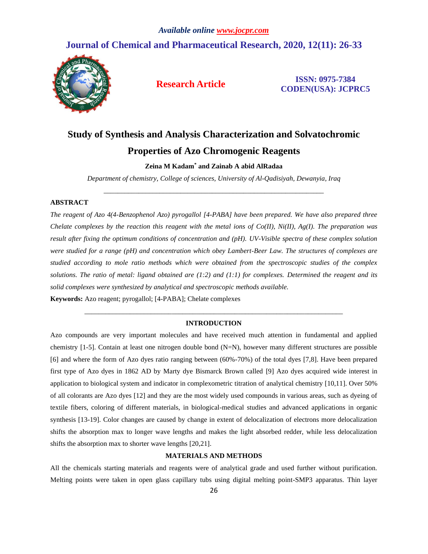## **Journal of Chemical and Pharmaceutical Research, 2020, 12(11): 26-33**



**Research Article ISSN: 0975-7384 CODEN(USA): JCPRC5**

# **Study of Synthesis and Analysis Characterization and Solvatochromic Properties of Azo Chromogenic Reagents**

**Zeina M Kadam\* and Zainab A abid AlRadaa**

*Department of chemistry, College of sciences, University of Al-Qadisiyah, Dewanyia, Iraq*  \_\_\_\_\_\_\_\_\_\_\_\_\_\_\_\_\_\_\_\_\_\_\_\_\_\_\_\_\_\_\_\_\_\_\_\_\_\_\_\_\_\_\_\_\_\_\_\_\_\_\_\_\_\_\_\_\_\_\_\_\_\_\_

#### **ABSTRACT**

*The reagent of Azo 4(4-Benzophenol Azo) pyrogallol [4-PABA] have been prepared. We have also prepared three Chelate complexes by the reaction this reagent with the metal ions of Co(II), Ni(II), Ag(I). The preparation was result after fixing the optimum conditions of concentration and (pH). UV-Visible spectra of these complex solution were studied for a range (pH) and concentration which obey Lambert-Beer Law. The structures of complexes are studied according to mole ratio methods which were obtained from the spectroscopic studies of the complex solutions. The ratio of metal: ligand obtained are (1:2) and (1:1) for complexes. Determined the reagent and its solid complexes were synthesized by analytical and spectroscopic methods available.*

**Keywords:** Azo reagent; pyrogallol; [4-PABA]; Chelate complexes

### *\_\_\_\_\_\_\_\_\_\_\_\_\_\_\_\_\_\_\_\_\_\_\_\_\_\_\_\_\_\_\_\_\_\_\_\_\_\_\_\_\_\_\_\_\_\_\_\_\_\_\_\_\_\_\_\_\_\_\_\_\_\_\_\_\_\_\_\_\_\_\_\_\_\_* **INTRODUCTION**

Azo compounds are very important molecules and have received much attention in fundamental and applied chemistry  $[1-5]$ . Contain at least one nitrogen double bond  $(N=N)$ , however many different structures are possible [6] and where the form of Azo dyes ratio ranging between (60%-70%) of the total dyes [7,8]. Have been prepared first type of Azo dyes in 1862 AD by Marty dye Bismarck Brown called [9] Azo dyes acquired wide interest in application to biological system and indicator in complexometric titration of analytical chemistry [10,11]. Over 50% of all colorants are Azo dyes [12] and they are the most widely used compounds in various areas, such as dyeing of textile fibers, coloring of different materials, in biological-medical studies and advanced applications in organic synthesis [13-19]. Color changes are caused by change in extent of delocalization of electrons more delocalization shifts the absorption max to longer wave lengths and makes the light absorbed redder, while less delocalization shifts the absorption max to shorter wave lengths [20,21].

#### **MATERIALS AND METHODS**

All the chemicals starting materials and reagents were of analytical grade and used further without purification. Melting points were taken in open glass capillary tubs using digital melting point-SMP3 apparatus. Thin layer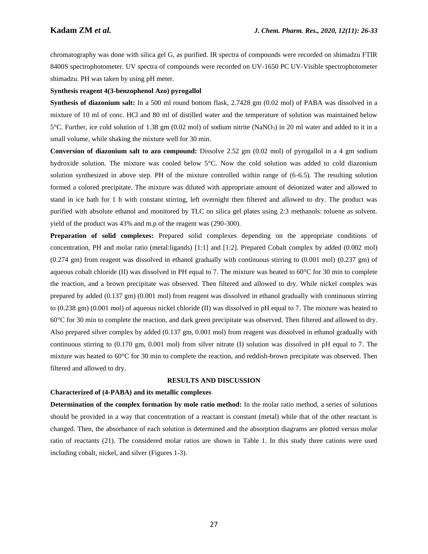chromatography was done with silica gel G, as purified. IR spectra of compounds were recorded on shimadzu FTIR 8400S spectrophotometer. UV spectra of compounds were recorded on UV-1650 PC UV-Visible spectrophotometer shimadzu. PH was taken by using pH meter.

#### **Synthesis reagent 4(3-benzophenol Azo) pyrogallol**

**Synthesis of diazonium salt:** In a 500 ml round bottom flask, 2.7428 gm (0.02 mol) of PABA was dissolved in a mixture of 10 ml of conc. HCl and 80 ml of distilled water and the temperature of solution was maintained below 5°C. Further, ice cold solution of 1.38 gm (0.02 mol) of sodium nitrite (NaNO3) in 20 ml water and added to it in a small volume, while shaking the mixture well for 30 min.

**Conversion of diazonium salt to azo compound:** Dissolve 2.52 gm (0.02 mol) of pyrogallol in a 4 gm sodium hydroxide solution. The mixture was cooled below 5°C. Now the cold solution was added to cold diazonium solution synthesized in above step. PH of the mixture controlled within range of (6-6.5). The resulting solution formed a colored precipitate. The mixture was diluted with appropriate amount of deionized water and allowed to stand in ice bath for 1 h with constant stirring, left overnight then filtered and allowed to dry. The product was purified with absolute ethanol and monitored by TLC on silica gel plates using 2:3 methanols: toluene as solvent. yield of the product was 43% and m.p of the reagent was (290-300).

**Preparation of solid complexes:** Prepared solid complexes depending on the appropriate conditions of concentration, PH and molar ratio (metal:ligands) [1:1] and [1:2]. Prepared Cobalt complex by added (0.002 mol) (0.274 gm) from reagent was dissolved in ethanol gradually with continuous stirring to (0.001 mol) (0.237 gm) of aqueous cobalt chloride (II) was dissolved in PH equal to 7. The mixture was heated to  $60^{\circ}$ C for 30 min to complete the reaction, and a brown precipitate was observed. Then filtered and allowed to dry. While nickel complex was prepared by added (0.137 gm) (0.001 mol) from reagent was dissolved in ethanol gradually with continuous stirring to (0.238 gm) (0.001 mol) of aqueous nickel chloride (II) was dissolved in pH equal to 7. The mixture was heated to 60°C for 30 min to complete the reaction, and dark green precipitate was observed. Then filtered and allowed to dry. Also prepared silver complex by added (0.137 gm, 0.001 mol) from reagent was dissolved in ethanol gradually with continuous stirring to (0.170 gm, 0.001 mol) from silver nitrate (I) solution was dissolved in pH equal to 7. The mixture was heated to 60°C for 30 min to complete the reaction, and reddish-brown precipitate was observed. Then filtered and allowed to dry.

#### **RESULTS AND DISCUSSION**

#### **Characterized of (4-PABA) and its metallic complexes**

**Determination of the complex formation by mole ratio method:** In the molar ratio method, a series of solutions should be provided in a way that concentration of a reactant is constant (metal) while that of the other reactant is changed. Then, the absorbance of each solution is determined and the absorption diagrams are plotted versus molar ratio of reactants (21). The considered molar ratios are shown in Table 1. In this study three cations were used including cobalt, nickel, and silver (Figures 1-3).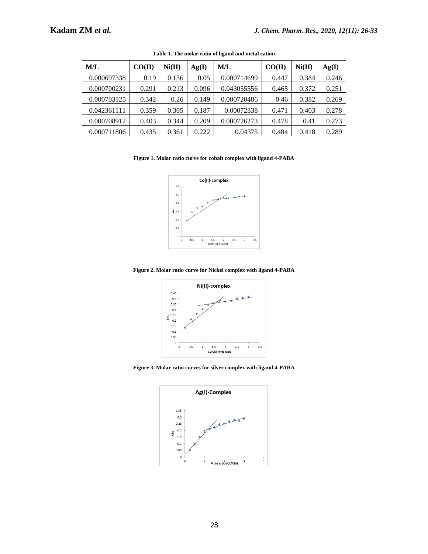| M/L         | CO(II) | Ni(II) | Ag(I) | M/L         | CO(II) | Ni(II) | Ag(I) |
|-------------|--------|--------|-------|-------------|--------|--------|-------|
| 0.000697338 | 0.19   | 0.136  | 0.05  | 0.000714699 | 0.447  | 0.384  | 0.246 |
| 0.000700231 | 0.291  | 0.213  | 0.096 | 0.043055556 | 0.465  | 0.372  | 0.251 |
| 0.000703125 | 0.342  | 0.26   | 0.149 | 0.000720486 | 0.46   | 0.382  | 0.269 |
| 0.042361111 | 0.359  | 0.305  | 0.187 | 0.00072338  | 0.471  | 0.403  | 0.278 |
| 0.000708912 | 0.403  | 0.344  | 0.209 | 0.000726273 | 0.478  | 0.41   | 0.273 |
| 0.000711806 | 0.435  | 0.361  | 0.222 | 0.04375     | 0.484  | 0.418  | 0.289 |

**Table 1. The molar ratio of ligand and metal cation**

#### **Figure 1. Molar ratio curve for cobalt complex with ligand 4-PABA**



**Figure 2. Molar ratio curve for Nickel complex with ligand 4-PABA**



**Figure 3. Molar ratio curves for silver complex with ligand 4-PABA**

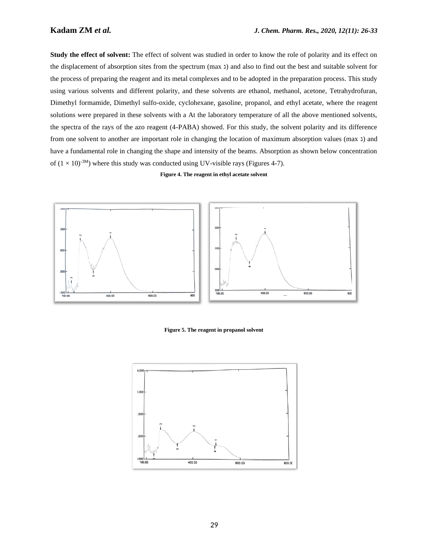**Study the effect of solvent:** The effect of solvent was studied in order to know the role of polarity and its effect on the displacement of absorption sites from the spectrum (max  $x$ ) and also to find out the best and suitable solvent for the process of preparing the reagent and its metal complexes and to be adopted in the preparation process. This study using various solvents and different polarity, and these solvents are ethanol, methanol, acetone, Tetrahydrofuran, Dimethyl formamide, Dimethyl sulfo-oxide, cyclohexane, gasoline, propanol, and ethyl acetate, where the reagent solutions were prepared in these solvents with a At the laboratory temperature of all the above mentioned solvents, the spectra of the rays of the azo reagent (4-PABA) showed. For this study, the solvent polarity and its difference from one solvent to another are important role in changing the location of maximum absorption values (max  $\lambda$ ) and have a fundamental role in changing the shape and intensity of the beams. Absorption as shown below concentration of  $(1 \times 10)^{-3M}$ ) where this study was conducted using UV-visible rays (Figures 4-7).

#### **Figure 4. The reagent in ethyl acetate solvent**



**Figure 5. The reagent in propanol solvent**

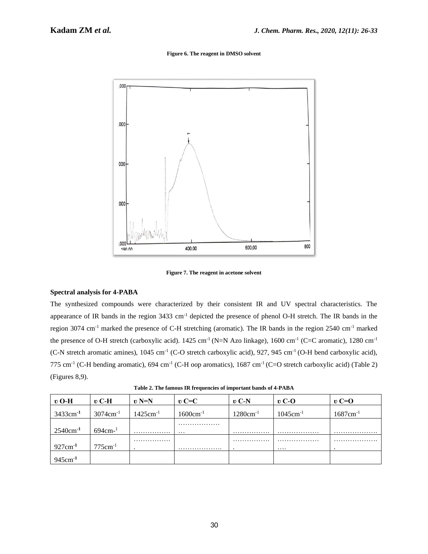**Figure 6. The reagent in DMSO solvent**



**Figure 7. The reagent in acetone solvent**

#### **Spectral analysis for 4-PABA**

The synthesized compounds were characterized by their consistent IR and UV spectral characteristics. The appearance of IR bands in the region 3433 cm<sup>-1</sup> depicted the presence of phenol O-H stretch. The IR bands in the region 3074 cm-1 marked the presence of C-H stretching (aromatic). The IR bands in the region 2540 cm-1 marked the presence of O-H stretch (carboxylic acid).  $1425 \text{ cm}^{-1}$  (N=N Azo linkage),  $1600 \text{ cm}^{-1}$  (C=C aromatic),  $1280 \text{ cm}^{-1}$ (C-N stretch aromatic amines),  $1045 \text{ cm}^{-1}$  (C-O stretch carboxylic acid), 927, 945 cm<sup>-1</sup> (O-H bend carboxylic acid), 775 cm<sup>-1</sup> (C-H bending aromatic), 694 cm<sup>-1</sup> (C-H oop aromatics), 1687 cm<sup>-1</sup> (C=O stretch carboxylic acid) (Table 2) (Figures 8,9).

**Table 2. The famous IR frequencies of important bands of 4-PABA**

| $\mathbf{v}$ O-H        | $\mathbf{v}$ C-H        | $v N=N$       | $\mathbf{v}$ C=C      | $\mathbf{v}$ C-N | $\mathbf{v}$ C-O | $\mathbf{v}$ C=O        |
|-------------------------|-------------------------|---------------|-----------------------|------------------|------------------|-------------------------|
| 3433cm <sup>-1</sup>    | $3074$ cm <sup>-1</sup> | $1425cm^{-1}$ | $1600 \text{cm}^{-1}$ | $1280cm^{-1}$    | $1045cm^{-1}$    | $1687$ cm <sup>-1</sup> |
|                         |                         |               | .                     |                  |                  |                         |
| $2540$ cm <sup>-1</sup> | $694cm^{-1}$            | .             | $\cdots$              | .                | .                | .                       |
|                         |                         | .             |                       | .                | .                | .                       |
| $927 \text{cm}^{-1}$    | $775cm^{-1}$            |               | .                     | $\cdot$          | $\cdots$         |                         |
| $945cm-1$               |                         |               |                       |                  |                  |                         |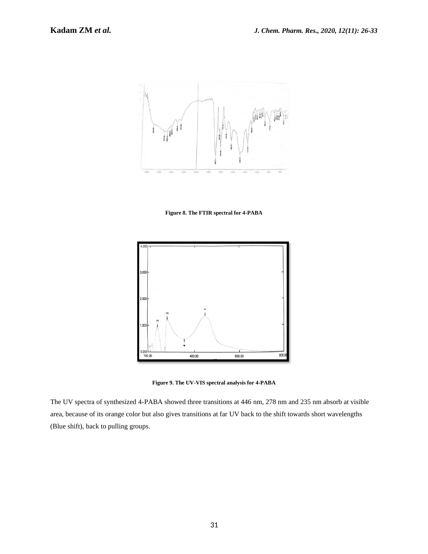

**Figure 8. The FTIR spectral for 4-PABA**



**Figure 9. The UV-VIS spectral analysis for 4-PABA**

The UV spectra of synthesized 4-PABA showed three transitions at 446 nm, 278 nm and 235 nm absorb at visible area, because of its orange color but also gives transitions at far UV back to the shift towards short wavelengths (Blue shift), back to pulling groups.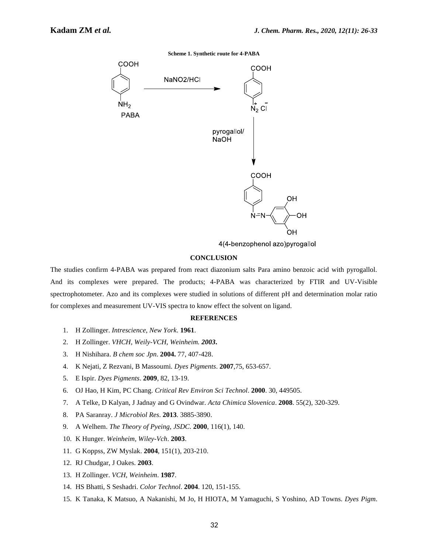**Scheme 1. Synthetic route for 4-PABA**



4(4-benzophenol azo)pyrogallol

#### **CONCLUSION**

The studies confirm 4-PABA was prepared from react diazonium salts Para amino benzoic acid with pyrogallol. And its complexes were prepared. The products; 4-PABA was characterized by FTIR and UV-Visible spectrophotometer. Azo and its complexes were studied in solutions of different pH and determination molar ratio for complexes and measurement UV-VIS spectra to know effect the solvent on ligand.

#### **REFERENCES**

- 1. H Zollinger. *Intrescience, New York*. **1961**.
- 2. H Zollinger. *VHCH, Weily-VCH, Weinheim. 2003***.**
- 3. H Nishihara. *B chem soc Jpn*. **2004.** 77, 407-428.
- 4. K Nejati, Z Rezvani, B Massoumi. *Dyes Pigments*. **2007**,75, 653-657.
- 5. E Ispir. *Dyes Pigments*. **2009**, 82, 13-19.
- 6. OJ Hao, H Kim, PC Chang. *Critical Rev Environ Sci Technol*. **2000**. 30, 449505.
- 7. A Telke, D Kalyan, J Jadnay and G Ovindwar. *Acta Chimica Slovenica*. **2008**. 55(2), 320-329.
- 8. PA Saranray. *J Microbiol Res*. **2013**. 3885-3890.
- 9. A Welhem. *The Theory of Pyeing, JSDC*. **2000**, 116(1), 140.
- 10. K Hunger. *Weinheim, Wiley-Vch*. **2003**.
- 11. G Koppss, ZW Myslak. **2004**, 151(1), 203-210.
- 12. RJ Chudgar, J Oakes. **2003**.
- 13. H Zollinger. *VCH, Weinheim*. **1987**.
- 14. HS Bhatti, S Seshadri. *Color Technol*. **2004**. 120, 151-155.
- 15. K Tanaka, K Matsuo, A Nakanishi, M Jo, H HIOTA, M Yamaguchi, S Yoshino, AD Towns. *Dyes Pigm*.